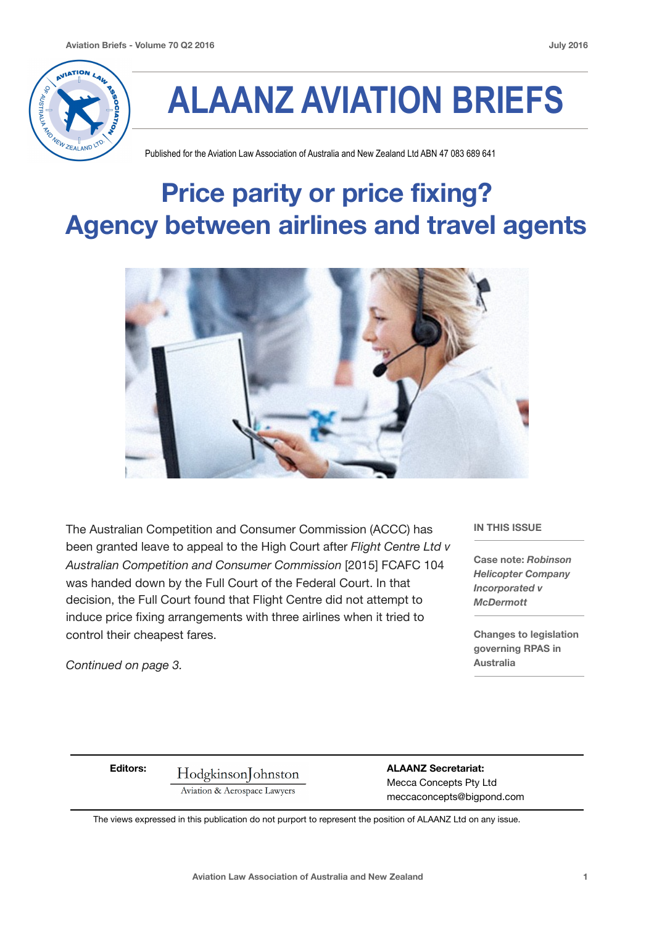

# **ALAANZ AVIATION BRIEFS**

Published for the Aviation Law Association of Australia and New Zealand Ltd ABN 47 083 689 641

### **Price parity or price fixing? Agency between airlines and travel agents**



The Australian Competition and Consumer Commission (ACCC) has been granted leave to appeal to the High Court after *Flight Centre Ltd v Australian Competition and Consumer Commission* [2015] FCAFC 104 was handed down by the Full Court of the Federal Court. In that decision, the Full Court found that Flight Centre did not attempt to induce price fixing arrangements with three airlines when it tried to control their cheapest fares.

**IN THIS ISSUE** 

**Case note:** *Robinson Helicopter Company Incorporated v McDermott*

**Changes to legislation governing RPAS in Australia**

*Continued on page 3.* 

Editors: Hodgkinson ohnston **ALAANZ Secretariat:** Mecca Concepts Pty Ltd<br>Aviation & Aerospace Lawvers meccaconcepts@bigpond.com

The views expressed in this publication do not purport to represent the position of ALAANZ Ltd on any issue.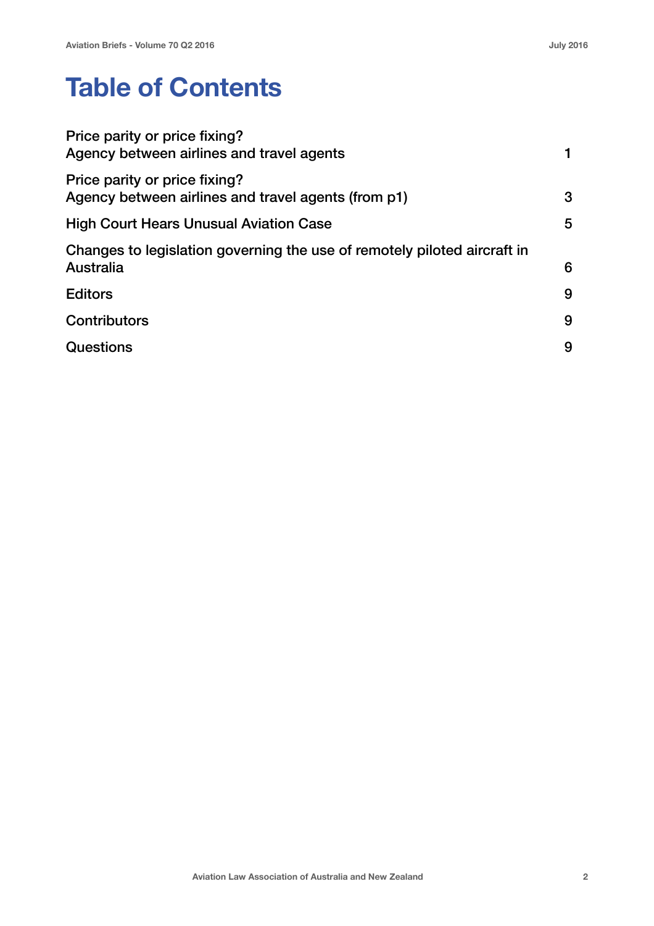### **Table of Contents**

| Price parity or price fixing?<br>Agency between airlines and travel agents            |   |
|---------------------------------------------------------------------------------------|---|
| Price parity or price fixing?<br>Agency between airlines and travel agents (from p1)  | 3 |
| <b>High Court Hears Unusual Aviation Case</b>                                         | 5 |
| Changes to legislation governing the use of remotely piloted aircraft in<br>Australia | 6 |
| <b>Editors</b>                                                                        | 9 |
| Contributors                                                                          | 9 |
| Questions                                                                             | 9 |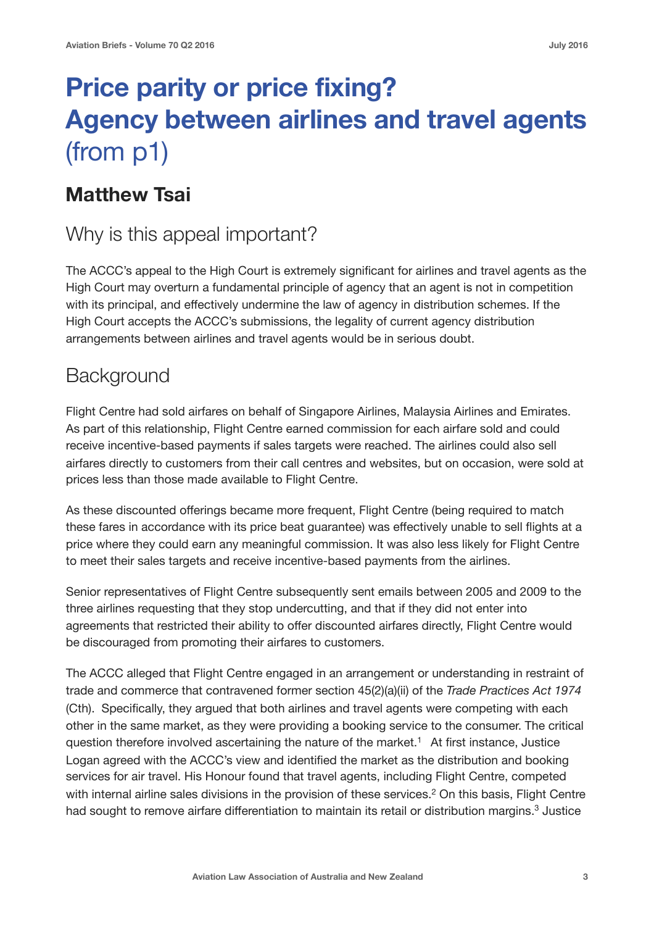### **Price parity or price fixing? Agency between airlines and travel agents** (from p1)

### **Matthew Tsai**

### Why is this appeal important?

The ACCC's appeal to the High Court is extremely significant for airlines and travel agents as the High Court may overturn a fundamental principle of agency that an agent is not in competition with its principal, and effectively undermine the law of agency in distribution schemes. If the High Court accepts the ACCC's submissions, the legality of current agency distribution arrangements between airlines and travel agents would be in serious doubt.

### **Background**

Flight Centre had sold airfares on behalf of Singapore Airlines, Malaysia Airlines and Emirates. As part of this relationship, Flight Centre earned commission for each airfare sold and could receive incentive-based payments if sales targets were reached. The airlines could also sell airfares directly to customers from their call centres and websites, but on occasion, were sold at prices less than those made available to Flight Centre.

As these discounted offerings became more frequent, Flight Centre (being required to match these fares in accordance with its price beat guarantee) was effectively unable to sell flights at a price where they could earn any meaningful commission. It was also less likely for Flight Centre to meet their sales targets and receive incentive-based payments from the airlines.

Senior representatives of Flight Centre subsequently sent emails between 2005 and 2009 to the three airlines requesting that they stop undercutting, and that if they did not enter into agreements that restricted their ability to offer discounted airfares directly, Flight Centre would be discouraged from promoting their airfares to customers.

The ACCC alleged that Flight Centre engaged in an arrangement or understanding in restraint of trade and commerce that contravened former section 45(2)(a)(ii) of the *Trade Practices Act 1974*  (Cth). Specifically, they argued that both airlines and travel agents were competing with each other in the same market, as they were providing a booking service to the consumer. The critical question therefore involved ascertaining the nature of the market.<sup>1</sup> At first instance, Justice Logan agreed with the ACCC's view and identified the market as the distribution and booking services for air travel. His Honour found that travel agents, including Flight Centre, competed with internal airline sales divisions in the provision of these services.<sup>2</sup> On this basis, Flight Centre had sought to remove airfare differentiation to maintain its retail or distribution margins.<sup>3</sup> Justice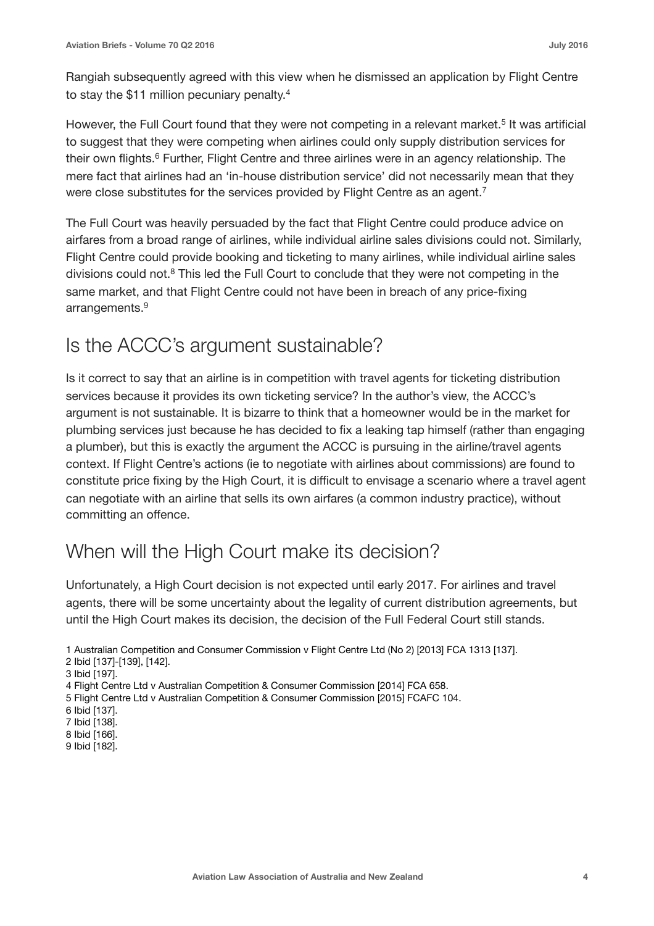Rangiah subsequently agreed with this view when he dismissed an application by Flight Centre to stay the \$11 million pecuniary penalty.4

However, the Full Court found that they were not competing in a relevant market.<sup>5</sup> It was artificial to suggest that they were competing when airlines could only supply distribution services for their own flights.6 Further, Flight Centre and three airlines were in an agency relationship. The mere fact that airlines had an 'in-house distribution service' did not necessarily mean that they were close substitutes for the services provided by Flight Centre as an agent.<sup>7</sup>

The Full Court was heavily persuaded by the fact that Flight Centre could produce advice on airfares from a broad range of airlines, while individual airline sales divisions could not. Similarly, Flight Centre could provide booking and ticketing to many airlines, while individual airline sales divisions could not.8 This led the Full Court to conclude that they were not competing in the same market, and that Flight Centre could not have been in breach of any price-fixing arrangements.<sup>9</sup>

#### Is the ACCC's argument sustainable?

Is it correct to say that an airline is in competition with travel agents for ticketing distribution services because it provides its own ticketing service? In the author's view, the ACCC's argument is not sustainable. It is bizarre to think that a homeowner would be in the market for plumbing services just because he has decided to fix a leaking tap himself (rather than engaging a plumber), but this is exactly the argument the ACCC is pursuing in the airline/travel agents context. If Flight Centre's actions (ie to negotiate with airlines about commissions) are found to constitute price fixing by the High Court, it is difficult to envisage a scenario where a travel agent can negotiate with an airline that sells its own airfares (a common industry practice), without committing an offence.

### When will the High Court make its decision?

Unfortunately, a High Court decision is not expected until early 2017. For airlines and travel agents, there will be some uncertainty about the legality of current distribution agreements, but until the High Court makes its decision, the decision of the Full Federal Court still stands.

- 2 Ibid [137]-[139], [142].
- 3 Ibid [197].

<sup>1</sup> Australian Competition and Consumer Commission v Flight Centre Ltd (No 2) [2013] FCA 1313 [137].

<sup>4</sup> Flight Centre Ltd v Australian Competition & Consumer Commission [2014] FCA 658.

<sup>5</sup> Flight Centre Ltd v Australian Competition & Consumer Commission [2015] FCAFC 104.

<sup>6</sup> Ibid [137].

<sup>7</sup> Ibid [138].

<sup>8</sup> Ibid [166].

<sup>9</sup> Ibid [182].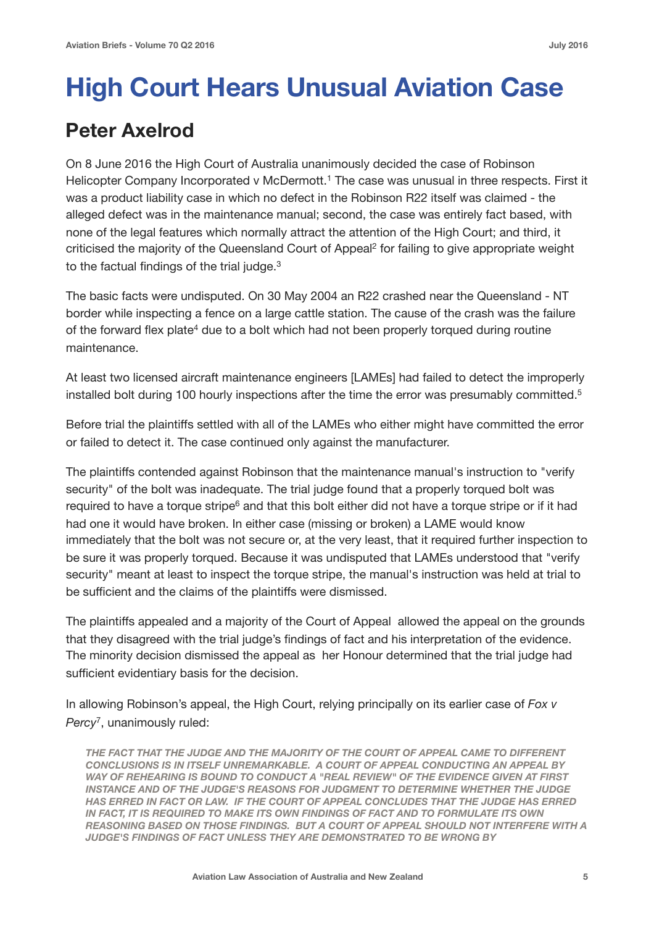## **High Court Hears Unusual Aviation Case**

### **Peter Axelrod**

On 8 June 2016 the High Court of Australia unanimously decided the case of Robinson Helicopter Company Incorporated v McDermott.<sup>1</sup> The case was unusual in three respects. First it was a product liability case in which no defect in the Robinson R22 itself was claimed - the alleged defect was in the maintenance manual; second, the case was entirely fact based, with none of the legal features which normally attract the attention of the High Court; and third, it criticised the majority of the Queensland Court of Appeal<sup>2</sup> for failing to give appropriate weight to the factual findings of the trial judge.<sup>3</sup>

The basic facts were undisputed. On 30 May 2004 an R22 crashed near the Queensland - NT border while inspecting a fence on a large cattle station. The cause of the crash was the failure of the forward flex plate<sup>4</sup> due to a bolt which had not been properly torqued during routine maintenance.

At least two licensed aircraft maintenance engineers [LAMEs] had failed to detect the improperly installed bolt during 100 hourly inspections after the time the error was presumably committed.<sup>5</sup>

Before trial the plaintiffs settled with all of the LAMEs who either might have committed the error or failed to detect it. The case continued only against the manufacturer.

The plaintiffs contended against Robinson that the maintenance manual's instruction to "verify security" of the bolt was inadequate. The trial judge found that a properly torqued bolt was required to have a torque stripe<sup>6</sup> and that this bolt either did not have a torque stripe or if it had had one it would have broken. In either case (missing or broken) a LAME would know immediately that the bolt was not secure or, at the very least, that it required further inspection to be sure it was properly torqued. Because it was undisputed that LAMEs understood that "verify security" meant at least to inspect the torque stripe, the manual's instruction was held at trial to be sufficient and the claims of the plaintiffs were dismissed.

The plaintiffs appealed and a majority of the Court of Appeal allowed the appeal on the grounds that they disagreed with the trial judge's findings of fact and his interpretation of the evidence. The minority decision dismissed the appeal as her Honour determined that the trial judge had sufficient evidentiary basis for the decision.

In allowing Robinson's appeal, the High Court, relying principally on its earlier case of *Fox v Percy*7, unanimously ruled:

*THE FACT THAT THE JUDGE AND THE MAJORITY OF THE COURT OF APPEAL CAME TO DIFFERENT CONCLUSIONS IS IN ITSELF UNREMARKABLE. A COURT OF APPEAL CONDUCTING AN APPEAL BY WAY OF REHEARING IS BOUND TO CONDUCT A "REAL REVIEW" OF THE EVIDENCE GIVEN AT FIRST*  **INSTANCE AND OF THE JUDGE'S REASONS FOR JUDGMENT TO DETERMINE WHETHER THE JUDGE** *HAS ERRED IN FACT OR LAW. IF THE COURT OF APPEAL CONCLUDES THAT THE JUDGE HAS ERRED IN FACT, IT IS REQUIRED TO MAKE ITS OWN FINDINGS OF FACT AND TO FORMULATE ITS OWN REASONING BASED ON THOSE FINDINGS. BUT A COURT OF APPEAL SHOULD NOT INTERFERE WITH A JUDGE'S FINDINGS OF FACT UNLESS THEY ARE DEMONSTRATED TO BE WRONG BY*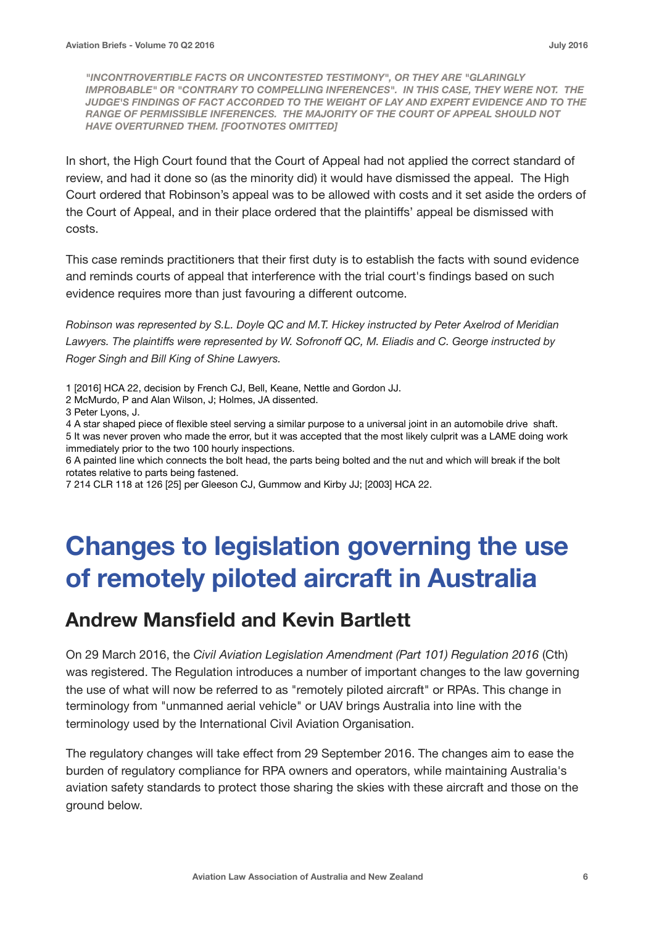*"INCONTROVERTIBLE FACTS OR UNCONTESTED TESTIMONY", OR THEY ARE "GLARINGLY IMPROBABLE" OR "CONTRARY TO COMPELLING INFERENCES". IN THIS CASE, THEY WERE NOT. THE JUDGE'S FINDINGS OF FACT ACCORDED TO THE WEIGHT OF LAY AND EXPERT EVIDENCE AND TO THE RANGE OF PERMISSIBLE INFERENCES. THE MAJORITY OF THE COURT OF APPEAL SHOULD NOT HAVE OVERTURNED THEM. [FOOTNOTES OMITTED]*

In short, the High Court found that the Court of Appeal had not applied the correct standard of review, and had it done so (as the minority did) it would have dismissed the appeal. The High Court ordered that Robinson's appeal was to be allowed with costs and it set aside the orders of the Court of Appeal, and in their place ordered that the plaintiffs' appeal be dismissed with costs.

This case reminds practitioners that their first duty is to establish the facts with sound evidence and reminds courts of appeal that interference with the trial court's findings based on such evidence requires more than just favouring a different outcome.

*Robinson was represented by S.L. Doyle QC and M.T. Hickey instructed by Peter Axelrod of Meridian Lawyers. The plaintiffs were represented by W. Sofronoff QC, M. Eliadis and C. George instructed by Roger Singh and Bill King of Shine Lawyers.* 

1 [2016] HCA 22, decision by French CJ, Bell, Keane, Nettle and Gordon JJ.

2 McMurdo, P and Alan Wilson, J; Holmes, JA dissented.

3 Peter Lyons, J.

4 A star shaped piece of flexible steel serving a similar purpose to a universal joint in an automobile drive shaft. 5 It was never proven who made the error, but it was accepted that the most likely culprit was a LAME doing work immediately prior to the two 100 hourly inspections.

6 A painted line which connects the bolt head, the parts being bolted and the nut and which will break if the bolt rotates relative to parts being fastened.

7 214 CLR 118 at 126 [25] per Gleeson CJ, Gummow and Kirby JJ; [2003] HCA 22.

### **Changes to legislation governing the use of remotely piloted aircraft in Australia**

#### **Andrew Mansfield and Kevin Bartlett**

On 29 March 2016, the *Civil Aviation Legislation Amendment (Part 101) Regulation 2016* (Cth) was registered. The Regulation introduces a number of important changes to the law governing the use of what will now be referred to as "remotely piloted aircraft" or RPAs. This change in terminology from "unmanned aerial vehicle" or UAV brings Australia into line with the terminology used by the International Civil Aviation Organisation.

The regulatory changes will take effect from 29 September 2016. The changes aim to ease the burden of regulatory compliance for RPA owners and operators, while maintaining Australia's aviation safety standards to protect those sharing the skies with these aircraft and those on the ground below.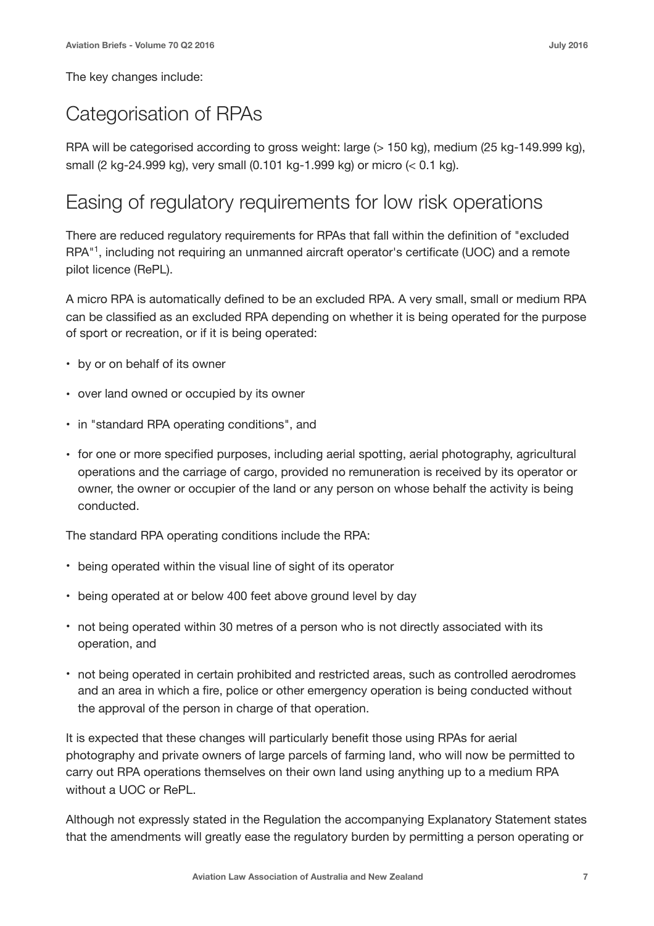The key changes include:

### Categorisation of RPAs

RPA will be categorised according to gross weight: large (> 150 kg), medium (25 kg-149.999 kg), small (2 kg-24.999 kg), very small (0.101 kg-1.999 kg) or micro (< 0.1 kg).

#### Easing of regulatory requirements for low risk operations

There are reduced regulatory requirements for RPAs that fall within the definition of "excluded RPA"1, including not requiring an unmanned aircraft operator's certificate (UOC) and a remote pilot licence (RePL).

A micro RPA is automatically defined to be an excluded RPA. A very small, small or medium RPA can be classified as an excluded RPA depending on whether it is being operated for the purpose of sport or recreation, or if it is being operated:

- by or on behalf of its owner
- over land owned or occupied by its owner
- in "standard RPA operating conditions", and
- for one or more specified purposes, including aerial spotting, aerial photography, agricultural operations and the carriage of cargo, provided no remuneration is received by its operator or owner, the owner or occupier of the land or any person on whose behalf the activity is being conducted.

The standard RPA operating conditions include the RPA:

- being operated within the visual line of sight of its operator
- being operated at or below 400 feet above ground level by day
- not being operated within 30 metres of a person who is not directly associated with its operation, and
- not being operated in certain prohibited and restricted areas, such as controlled aerodromes and an area in which a fire, police or other emergency operation is being conducted without the approval of the person in charge of that operation.

It is expected that these changes will particularly benefit those using RPAs for aerial photography and private owners of large parcels of farming land, who will now be permitted to carry out RPA operations themselves on their own land using anything up to a medium RPA without a UOC or RePL.

Although not expressly stated in the Regulation the accompanying Explanatory Statement states that the amendments will greatly ease the regulatory burden by permitting a person operating or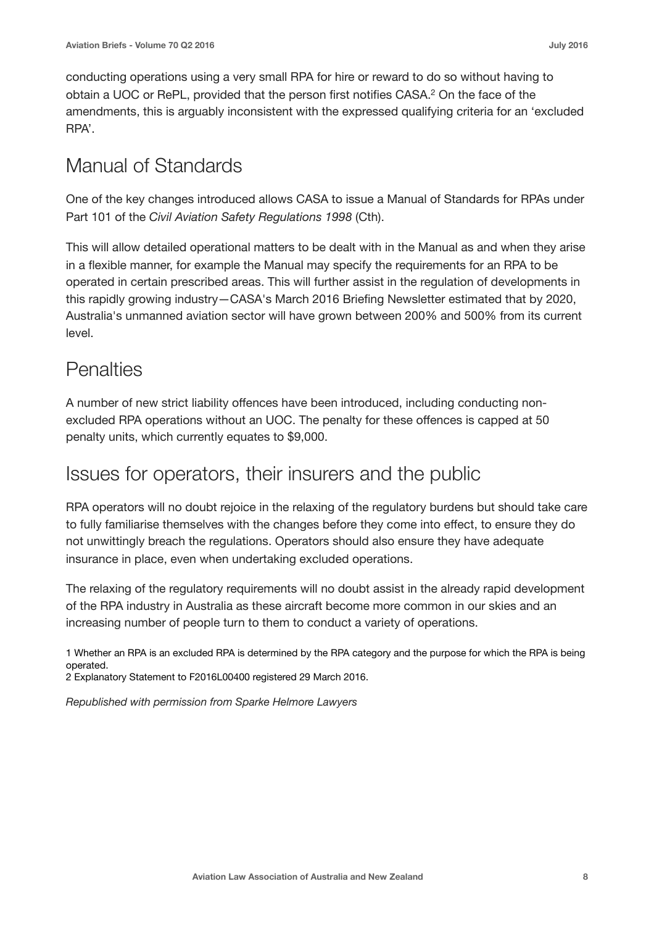conducting operations using a very small RPA for hire or reward to do so without having to obtain a UOC or RePL, provided that the person first notifies CASA.2 On the face of the amendments, this is arguably inconsistent with the expressed qualifying criteria for an 'excluded RPA'.

### Manual of Standards

One of the key changes introduced allows CASA to issue a Manual of Standards for RPAs under Part 101 of the *Civil Aviation Safety Regulations 1998* (Cth).

This will allow detailed operational matters to be dealt with in the Manual as and when they arise in a flexible manner, for example the Manual may specify the requirements for an RPA to be operated in certain prescribed areas. This will further assist in the regulation of developments in this rapidly growing industry—CASA's March 2016 Briefing Newsletter estimated that by 2020, Australia's unmanned aviation sector will have grown between 200% and 500% from its current level.

### **Penalties**

A number of new strict liability offences have been introduced, including conducting nonexcluded RPA operations without an UOC. The penalty for these offences is capped at 50 penalty units, which currently equates to \$9,000.

#### Issues for operators, their insurers and the public

RPA operators will no doubt rejoice in the relaxing of the regulatory burdens but should take care to fully familiarise themselves with the changes before they come into effect, to ensure they do not unwittingly breach the regulations. Operators should also ensure they have adequate insurance in place, even when undertaking excluded operations.

The relaxing of the regulatory requirements will no doubt assist in the already rapid development of the RPA industry in Australia as these aircraft become more common in our skies and an increasing number of people turn to them to conduct a variety of operations.

1 Whether an RPA is an excluded RPA is determined by the RPA category and the purpose for which the RPA is being operated.

2 Explanatory Statement to F2016L00400 registered 29 March 2016.

*Republished with permission from Sparke Helmore Lawyers*